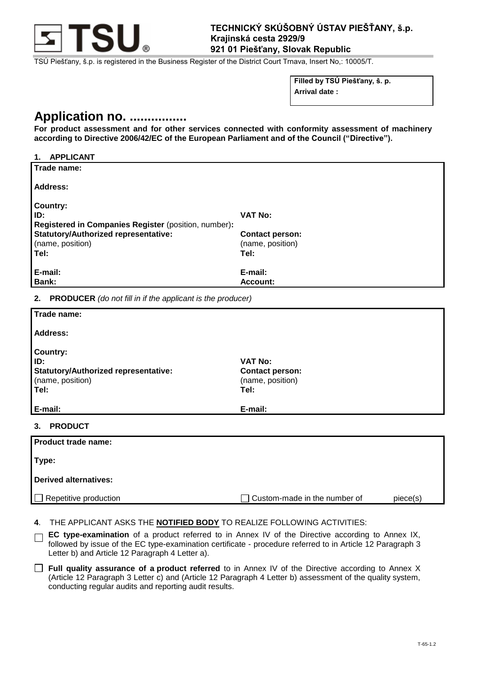

TSÚ Piešťany, š.p. is registered in the Business Register of the District Court Trnava, Insert No,: 10005/T.

**Filled by TSÚ Piešťany, š. p. Arrival date :**

# **Application no. ................**

**For product assessment and for other services connected with conformity assessment of machinery according to Directive 2006/42/EC of the European Parliament and of the Council ("Directive").**

## **1. APPLICANT**

| Trade name:                                          |                        |
|------------------------------------------------------|------------------------|
| Address:                                             |                        |
| Country:                                             |                        |
| ID:                                                  | <b>VAT No:</b>         |
| Registered in Companies Register (position, number): |                        |
| <b>Statutory/Authorized representative:</b>          | <b>Contact person:</b> |
| (name, position)                                     | (name, position)       |
| Tel:                                                 | Tel:                   |
| E-mail:                                              | E-mail:                |
| Bank:                                                | <b>Account:</b>        |

**2. PRODUCER** *(do not fill in if the applicant is the producer)*

| Trade name:                                 |                        |  |
|---------------------------------------------|------------------------|--|
| <b>Address:</b>                             |                        |  |
| <b>Country:</b>                             |                        |  |
| ID:                                         | <b>VAT No:</b>         |  |
| <b>Statutory/Authorized representative:</b> | <b>Contact person:</b> |  |
| (name, position)                            | (name, position)       |  |
| Tel:                                        | Tel:                   |  |
|                                             |                        |  |
| E-mail:                                     | E-mail:                |  |
| <b>PRODUCT</b><br>3.                        |                        |  |
| Product trade name:                         |                        |  |
| Type:                                       |                        |  |
| <b>Derived alternatives:</b>                |                        |  |

Repetitive production  $\Box$  Custom-made in the number of piece(s)

- **4**. THE APPLICANT ASKS THE **NOTIFIED BODY** TO REALIZE FOLLOWING ACTIVITIES:
- **EC type-examination** of a product referred to in Annex IV of the Directive according to Annex IX,  $\Box$ followed by issue of the EC type-examination certificate - procedure referred to in Article 12 Paragraph 3 Letter b) and Article 12 Paragraph 4 Letter a).
- **Full quality assurance of a product referred** to in Annex IV of the Directive according to Annex X (Article 12 Paragraph 3 Letter c) and (Article 12 Paragraph 4 Letter b) assessment of the quality system, conducting regular audits and reporting audit results.